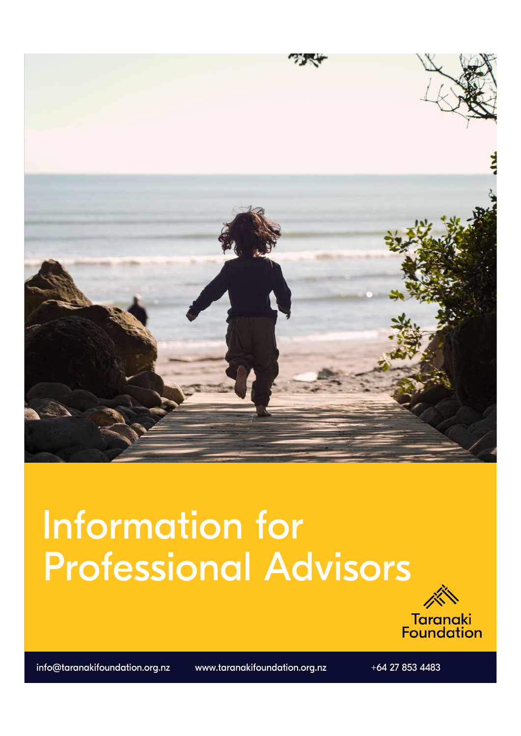

# **Information for Professional Advisors**



info@taranakifoundation.org.nz

www.taranakifoundation.org.nz

 $+64$  27 853 4483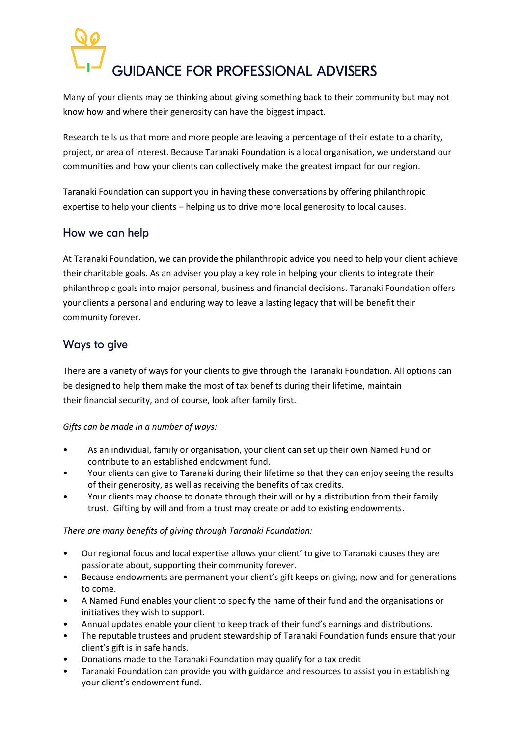# **GUIDANCE FOR PROFESSIONAL ADVISERS**

Many of your clients may be thinking about giving something back to their community but may not know how and where their generosity can have the biggest impact.

Research tells us that more and more people are leaving a percentage of their estate to a charity, project, or area of interest. Because Taranaki Foundation is a local organisation, we understand our communities and how your clients can collectively make the greatest impact for our region.

Taranaki Foundation can support you in having these conversations by offering philanthropic expertise to help your clients – helping us to drive more local generosity to local causes.

## How we can help

At Taranaki Foundation, we can provide the philanthropic advice you need to help your client achieve their charitable goals. As an adviser you play a key role in helping your clients to integrate their philanthropic goals into major personal, business and financial decisions. Taranaki Foundation offers your clients a personal and enduring way to leave a lasting legacy that will be benefit their community forever.

#### Ways to give

There are a variety of ways for your clients to give through the Taranaki Foundation. All options can be designed to help them make the most of tax benefits during their lifetime, maintain their financial security, and of course, look after family first.

#### *Gifts can be made in a number of ways:*

- As an individual, family or organisation, your client can set up their own Named Fund or contribute to an established endowment fund.
- Your clients can give to Taranaki during their lifetime so that they can enjoy seeing the results of their generosity, as well as receiving the benefits of tax credits.
- Your clients may choose to donate through their will or by a distribution from their family trust. Gifting by will and from a trust may create or add to existing endowments.

#### *There are many benefits of giving through Taranaki Foundation:*

- Our regional focus and local expertise allows your client' to give to Taranaki causes they are passionate about, supporting their community forever.
- Because endowments are permanent your client's gift keeps on giving, now and for generations to come.
- A Named Fund enables your client to specify the name of their fund and the organisations or initiatives they wish to support.
- Annual updates enable your client to keep track of their fund's earnings and distributions.
- The reputable trustees and prudent stewardship of Taranaki Foundation funds ensure that your client's gift is in safe hands.
- Donations made to the Taranaki Foundation may qualify for a tax credit
- Taranaki Foundation can provide you with guidance and resources to assist you in establishing your client's endowment fund.